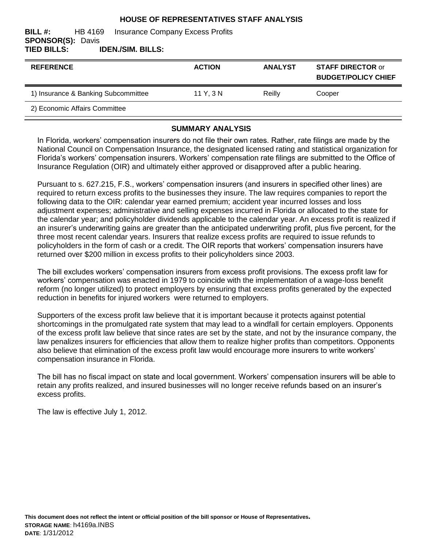#### **HOUSE OF REPRESENTATIVES STAFF ANALYSIS**

#### **BILL #:** HB 4169 Insurance Company Excess Profits **SPONSOR(S):** Davis **TIED BILLS: IDEN./SIM. BILLS:**

| <b>REFERENCE</b>                    | <b>ACTION</b> | <b>ANALYST</b> | <b>STAFF DIRECTOR or</b><br><b>BUDGET/POLICY CHIEF</b> |
|-------------------------------------|---------------|----------------|--------------------------------------------------------|
| 1) Insurance & Banking Subcommittee | 11 Y, 3 N     | Reilly         | Cooper                                                 |
| 2) Economic Affairs Committee       |               |                |                                                        |

### **SUMMARY ANALYSIS**

In Florida, workers' compensation insurers do not file their own rates. Rather, rate filings are made by the National Council on Compensation Insurance, the designated licensed rating and statistical organization for Florida's workers' compensation insurers. Workers' compensation rate filings are submitted to the Office of Insurance Regulation (OIR) and ultimately either approved or disapproved after a public hearing.

Pursuant to s. 627.215, F.S., workers' compensation insurers (and insurers in specified other lines) are required to return excess profits to the businesses they insure. The law requires companies to report the following data to the OIR: calendar year earned premium; accident year incurred losses and loss adjustment expenses; administrative and selling expenses incurred in Florida or allocated to the state for the calendar year; and policyholder dividends applicable to the calendar year. An excess profit is realized if an insurer's underwriting gains are greater than the anticipated underwriting profit, plus five percent, for the three most recent calendar years. Insurers that realize excess profits are required to issue refunds to policyholders in the form of cash or a credit. The OIR reports that workers' compensation insurers have returned over \$200 million in excess profits to their policyholders since 2003.

The bill excludes workers' compensation insurers from excess profit provisions. The excess profit law for workers' compensation was enacted in 1979 to coincide with the implementation of a wage-loss benefit reform (no longer utilized) to protect employers by ensuring that excess profits generated by the expected reduction in benefits for injured workers were returned to employers.

Supporters of the excess profit law believe that it is important because it protects against potential shortcomings in the promulgated rate system that may lead to a windfall for certain employers. Opponents of the excess profit law believe that since rates are set by the state, and not by the insurance company, the law penalizes insurers for efficiencies that allow them to realize higher profits than competitors. Opponents also believe that elimination of the excess profit law would encourage more insurers to write workers' compensation insurance in Florida.

The bill has no fiscal impact on state and local government. Workers' compensation insurers will be able to retain any profits realized, and insured businesses will no longer receive refunds based on an insurer's excess profits.

The law is effective July 1, 2012.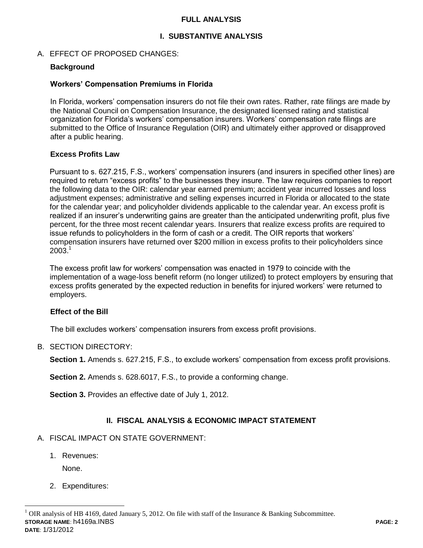### **FULL ANALYSIS**

### **I. SUBSTANTIVE ANALYSIS**

### A. EFFECT OF PROPOSED CHANGES:

#### **Background**

#### **Workers' Compensation Premiums in Florida**

In Florida, workers' compensation insurers do not file their own rates. Rather, rate filings are made by the National Council on Compensation Insurance, the designated licensed rating and statistical organization for Florida's workers' compensation insurers. Workers' compensation rate filings are submitted to the Office of Insurance Regulation (OIR) and ultimately either approved or disapproved after a public hearing.

#### **Excess Profits Law**

Pursuant to s. 627.215, F.S., workers' compensation insurers (and insurers in specified other lines) are required to return "excess profits" to the businesses they insure. The law requires companies to report the following data to the OIR: calendar year earned premium; accident year incurred losses and loss adjustment expenses; administrative and selling expenses incurred in Florida or allocated to the state for the calendar year; and policyholder dividends applicable to the calendar year. An excess profit is realized if an insurer's underwriting gains are greater than the anticipated underwriting profit, plus five percent, for the three most recent calendar years. Insurers that realize excess profits are required to issue refunds to policyholders in the form of cash or a credit. The OIR reports that workers' compensation insurers have returned over \$200 million in excess profits to their policyholders since  $2003.<sup>1</sup>$ 

The excess profit law for workers' compensation was enacted in 1979 to coincide with the implementation of a wage-loss benefit reform (no longer utilized) to protect employers by ensuring that excess profits generated by the expected reduction in benefits for injured workers' were returned to employers.

#### **Effect of the Bill**

The bill excludes workers' compensation insurers from excess profit provisions.

#### B. SECTION DIRECTORY:

**Section 1.** Amends s. 627.215, F.S., to exclude workers' compensation from excess profit provisions.

**Section 2.** Amends s. 628.6017, F.S., to provide a conforming change.

**Section 3.** Provides an effective date of July 1, 2012.

## **II. FISCAL ANALYSIS & ECONOMIC IMPACT STATEMENT**

- A. FISCAL IMPACT ON STATE GOVERNMENT:
	- 1. Revenues:

None.

 $\overline{a}$ 

2. Expenditures: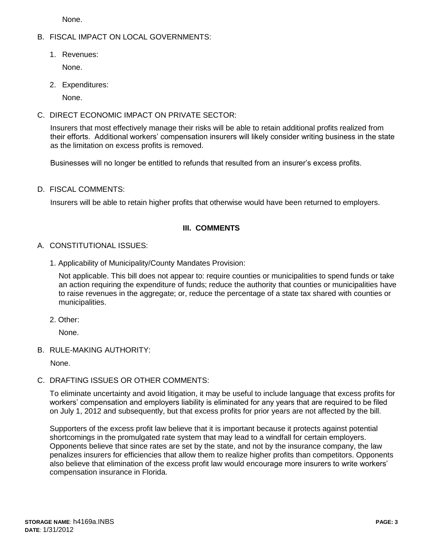None.

### B. FISCAL IMPACT ON LOCAL GOVERNMENTS:

1. Revenues:

None.

2. Expenditures:

None.

C. DIRECT ECONOMIC IMPACT ON PRIVATE SECTOR:

Insurers that most effectively manage their risks will be able to retain additional profits realized from their efforts. Additional workers' compensation insurers will likely consider writing business in the state as the limitation on excess profits is removed.

Businesses will no longer be entitled to refunds that resulted from an insurer's excess profits.

D. FISCAL COMMENTS:

Insurers will be able to retain higher profits that otherwise would have been returned to employers.

# **III. COMMENTS**

## A. CONSTITUTIONAL ISSUES:

1. Applicability of Municipality/County Mandates Provision:

Not applicable. This bill does not appear to: require counties or municipalities to spend funds or take an action requiring the expenditure of funds; reduce the authority that counties or municipalities have to raise revenues in the aggregate; or, reduce the percentage of a state tax shared with counties or municipalities.

2. Other:

None.

B. RULE-MAKING AUTHORITY:

None.

# C. DRAFTING ISSUES OR OTHER COMMENTS:

To eliminate uncertainty and avoid litigation, it may be useful to include language that excess profits for workers' compensation and employers liability is eliminated for any years that are required to be filed on July 1, 2012 and subsequently, but that excess profits for prior years are not affected by the bill.

Supporters of the excess profit law believe that it is important because it protects against potential shortcomings in the promulgated rate system that may lead to a windfall for certain employers. Opponents believe that since rates are set by the state, and not by the insurance company, the law penalizes insurers for efficiencies that allow them to realize higher profits than competitors. Opponents also believe that elimination of the excess profit law would encourage more insurers to write workers' compensation insurance in Florida.